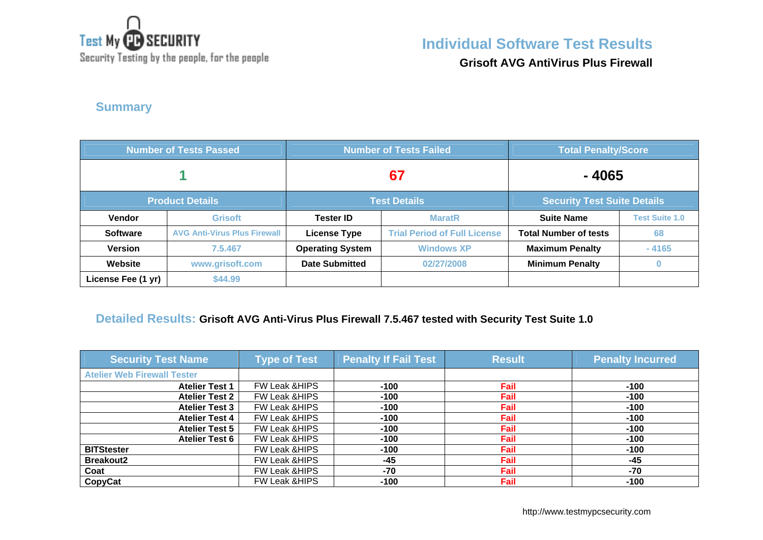

Security Testing by the people, for the people

# **Individual Software Test Results**

**Grisoft AVG AntiVirus Plus Firewall**

## **Summary**

| <b>Number of Tests Passed</b> |                                     | <b>Number of Tests Failed</b> |                                     | <b>Total Penalty/Score</b>   |                       |
|-------------------------------|-------------------------------------|-------------------------------|-------------------------------------|------------------------------|-----------------------|
|                               |                                     | 67                            |                                     | -4065                        |                       |
| <b>Product Details</b>        |                                     | <b>Test Details</b>           | <b>Security Test Suite Details</b>  |                              |                       |
| Vendor                        | <b>Grisoft</b>                      | <b>Tester ID</b>              | <b>MaratR</b>                       | <b>Suite Name</b>            | <b>Test Suite 1.0</b> |
| <b>Software</b>               | <b>AVG Anti-Virus Plus Firewall</b> | <b>License Type</b>           | <b>Trial Period of Full License</b> | <b>Total Number of tests</b> | 68                    |
| <b>Version</b>                | 7.5.467                             | <b>Operating System</b>       | <b>Windows XP</b>                   | <b>Maximum Penalty</b>       | $-4165$               |
| Website                       | www.grisoft.com                     | <b>Date Submitted</b>         | 02/27/2008                          | <b>Minimum Penalty</b>       | 0                     |
| License Fee (1 yr)            | \$44.99                             |                               |                                     |                              |                       |

#### **Detailed Results: Grisoft AVG Anti-Virus Plus Firewall 7.5.467 tested with Security Test Suite 1.0**

| <b>Security Test Name</b>          | <b>Type of Test</b>      | <b>Penalty If Fail Test</b> | <b>Result</b> | <b>Penalty Incurred</b> |
|------------------------------------|--------------------------|-----------------------------|---------------|-------------------------|
| <b>Atelier Web Firewall Tester</b> |                          |                             |               |                         |
| <b>Atelier Test 1</b>              | FW Leak & HIPS           | $-100$                      | Fail          | $-100$                  |
| <b>Atelier Test 2</b>              | <b>FW Leak &amp;HIPS</b> | $-100$                      | Fail          | $-100$                  |
| <b>Atelier Test 3</b>              | <b>FW Leak &amp;HIPS</b> | -100                        | Fail          | $-100$                  |
| <b>Atelier Test 4</b>              | <b>FW Leak &amp;HIPS</b> | $-100$                      | Fail          | $-100$                  |
| <b>Atelier Test 5</b>              | FW Leak & HIPS           | $-100$                      | Fail          | $-100$                  |
| <b>Atelier Test 6</b>              | FW Leak & HIPS           | $-100$                      | Fail          | $-100$                  |
| <b>BITStester</b>                  | FW Leak & HIPS           | $-100$                      | Fail          | $-100$                  |
| <b>Breakout2</b>                   | <b>FW Leak &amp;HIPS</b> | -45                         | Fail          | $-45$                   |
| Coat                               | <b>FW Leak &amp;HIPS</b> | $-70$                       | Fail          | $-70$                   |
| CopyCat                            | <b>FW Leak &amp;HIPS</b> | -100                        | Fail          | $-100$                  |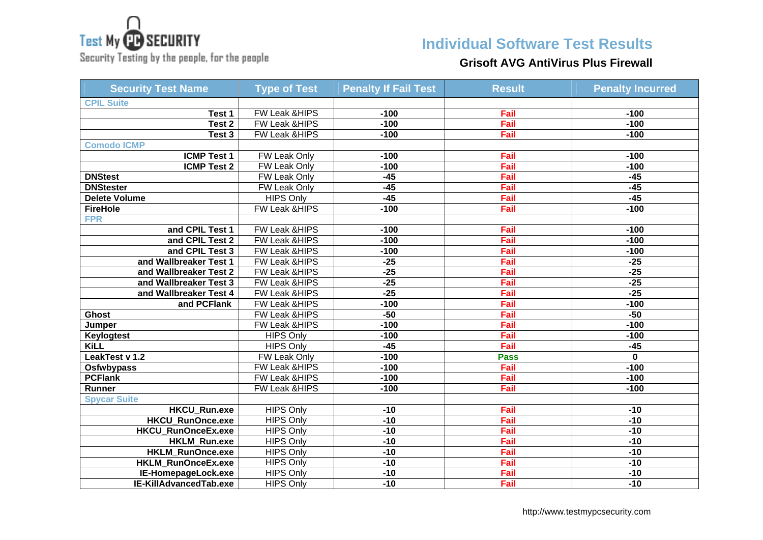

Security Testing by the people, for the people

## **Individual Software Test Results**

## **Grisoft AVG AntiVirus Plus Firewall**

| <b>Security Test Name</b> | <b>Type of Test</b>      | <b>Penalty If Fail Test</b> | <b>Result</b> | <b>Penalty Incurred</b> |
|---------------------------|--------------------------|-----------------------------|---------------|-------------------------|
| <b>CPIL Suite</b>         |                          |                             |               |                         |
| Test 1                    | FW Leak & HIPS           | $-100$                      | Fail          | $-100$                  |
| Test <sub>2</sub>         | FW Leak & HIPS           | $-100$                      | Fail          | $-100$                  |
| Test 3                    | FW Leak & HIPS           | $-100$                      | Fail          | $-100$                  |
| <b>Comodo ICMP</b>        |                          |                             |               |                         |
| <b>ICMP Test 1</b>        | FW Leak Only             | $-100$                      | Fail          | $-100$                  |
| <b>ICMP Test 2</b>        | <b>FW Leak Only</b>      | $-100$                      | Fail          | $-100$                  |
| <b>DNStest</b>            | <b>FW Leak Only</b>      | $-45$                       | Fail          | $-45$                   |
| <b>DNStester</b>          | <b>FW Leak Only</b>      | $-45$                       | Fail          | $-45$                   |
| <b>Delete Volume</b>      | <b>HIPS Only</b>         | $-45$                       | Fail          | $-45$                   |
| <b>FireHole</b>           | FW Leak & HIPS           | $-100$                      | Fail          | $-100$                  |
| <b>FPR</b>                |                          |                             |               |                         |
| and CPIL Test 1           | <b>FW Leak &amp;HIPS</b> | $-100$                      | Fail          | $-100$                  |
| and CPIL Test 2           | FW Leak & HIPS           | $-100$                      | Fail          | $-100$                  |
| and CPIL Test 3           | FW Leak &HIPS            | $-100$                      | Fail          | $-100$                  |
| and Wallbreaker Test 1    | FW Leak & HIPS           | $-25$                       | Fail          | $-25$                   |
| and Wallbreaker Test 2    | FW Leak & HIPS           | $-25$                       | Fail          | $-25$                   |
| and Wallbreaker Test 3    | FW Leak &HIPS            | $-25$                       | Fail          | $-25$                   |
| and Wallbreaker Test 4    | FW Leak & HIPS           | $-25$                       | Fail          | $-25$                   |
| and PCFlank               | <b>FW Leak &amp;HIPS</b> | $-100$                      | Fail          | $-100$                  |
| <b>Ghost</b>              | FW Leak &HIPS            | $-50$                       | Fail          | $-50$                   |
| Jumper                    | FW Leak & HIPS           | $-100$                      | Fail          | $-100$                  |
| <b>Keylogtest</b>         | <b>HIPS Only</b>         | $-100$                      | Fail          | $-100$                  |
| <b>KiLL</b>               | <b>HIPS Only</b>         | $-45$                       | Fail          | $-45$                   |
| LeakTest v 1.2            | FW Leak Only             | $-100$                      | <b>Pass</b>   | 0                       |
| <b>Osfwbypass</b>         | FW Leak & HIPS           | $-100$                      | Fail          | $-100$                  |
| <b>PCFlank</b>            | FW Leak & HIPS           | $-100$                      | Fail          | $-100$                  |
| Runner                    | FW Leak & HIPS           | $-100$                      | Fail          | $-100$                  |
| <b>Spycar Suite</b>       |                          |                             |               |                         |
| <b>HKCU Run.exe</b>       | <b>HIPS Only</b>         | $-10$                       | Fail          | $-10$                   |
| <b>HKCU RunOnce.exe</b>   | <b>HIPS Only</b>         | $-10$                       | Fail          | $-10$                   |
| HKCU_RunOnceEx.exe        | <b>HIPS Only</b>         | $-10$                       | Fail          | $-10$                   |
| <b>HKLM Run.exe</b>       | <b>HIPS Only</b>         | $-10$                       | Fail          | $-10$                   |
| <b>HKLM RunOnce.exe</b>   | <b>HIPS Only</b>         | $-10$                       | Fail          | $-10$                   |
| HKLM_RunOnceEx.exe        | <b>HIPS Only</b>         | $-10$                       | Fail          | $-10$                   |
| IE-HomepageLock.exe       | <b>HIPS Only</b>         | $-10$                       | Fail          | $-10$                   |
| IE-KillAdvancedTab.exe    | <b>HIPS Only</b>         | $-10$                       | Fail          | $-10$                   |